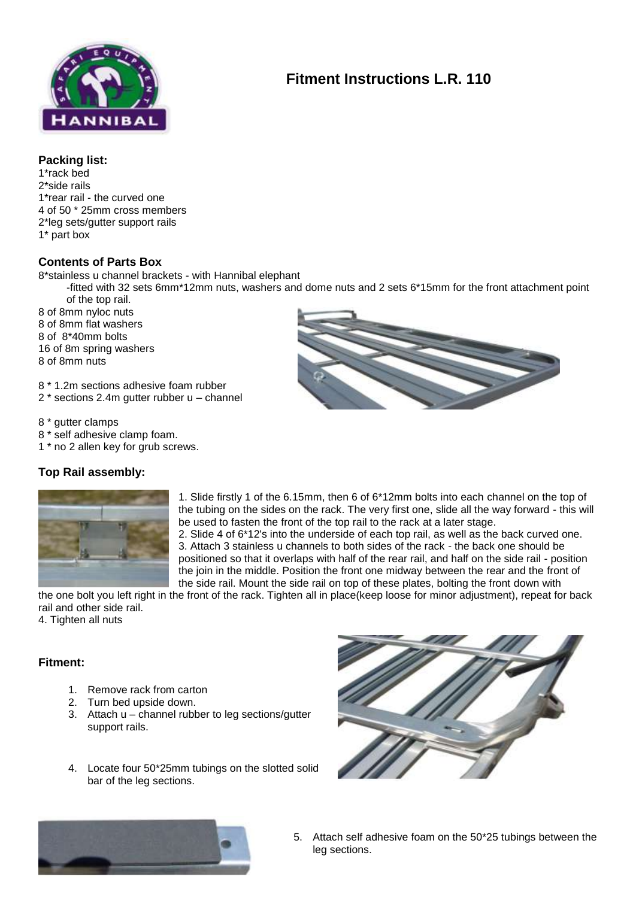

# **Fitment Instructions L.R. 110**

### **Packing list:**

1\*rack bed 2\*side rails 1\*rear rail - the curved one 4 of 50 \* 25mm cross members 2\*leg sets/gutter support rails 1\* part box

## **Contents of Parts Box**

8\*stainless u channel brackets - with Hannibal elephant

-fitted with 32 sets 6mm\*12mm nuts, washers and dome nuts and 2 sets 6\*15mm for the front attachment point of the top rail.

8 of 8mm nyloc nuts

8 of 8mm flat washers

8 of 8\*40mm bolts

16 of 8m spring washers

8 of 8mm nuts

8 \* 1.2m sections adhesive foam rubber

2 \* sections 2.4m gutter rubber u – channel

8 \* gutter clamps

- 8 \* self adhesive clamp foam.
- 1 \* no 2 allen key for grub screws.

# **Top Rail assembly:**



1. Slide firstly 1 of the 6.15mm, then 6 of 6\*12mm bolts into each channel on the top of the tubing on the sides on the rack. The very first one, slide all the way forward - this will be used to fasten the front of the top rail to the rack at a later stage. 2. Slide 4 of 6\*12's into the underside of each top rail, as well as the back curved one. 3. Attach 3 stainless u channels to both sides of the rack - the back one should be positioned so that it overlaps with half of the rear rail, and half on the side rail - position the join in the middle. Position the front one midway between the rear and the front of the side rail. Mount the side rail on top of these plates, bolting the front down with

the one bolt you left right in the front of the rack. Tighten all in place(keep loose for minor adjustment), repeat for back rail and other side rail.

4. Tighten all nuts

# **Fitment:**

- 1. Remove rack from carton
- 2. Turn bed upside down.
- 3. Attach u channel rubber to leg sections/gutter support rails.
- 4. Locate four 50\*25mm tubings on the slotted solid bar of the leg sections.





5. Attach self adhesive foam on the 50\*25 tubings between the leg sections.